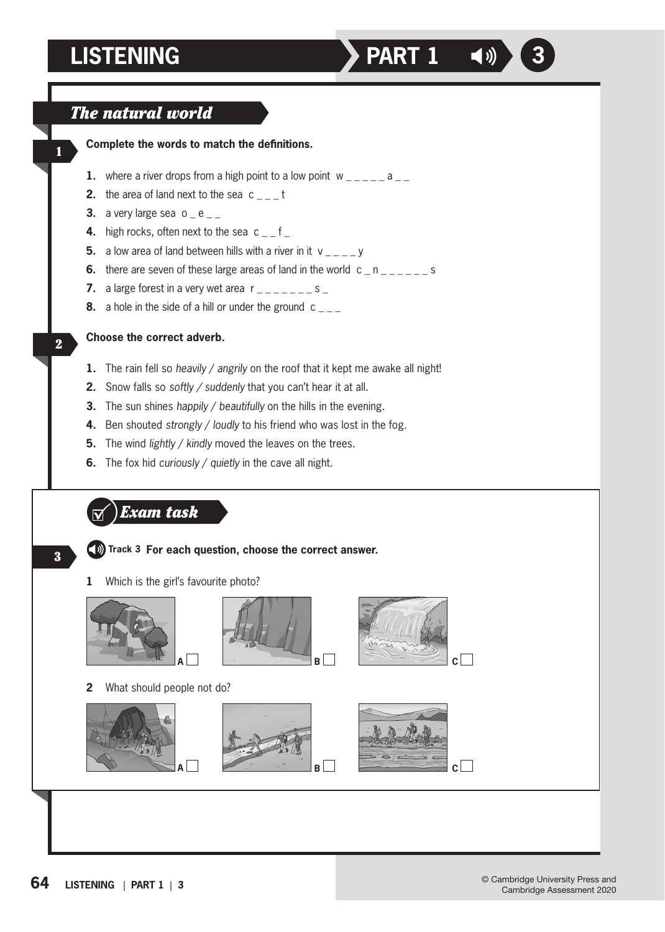## **LISTENING PART 1 4**



**Complete the words to match the definitions.**

- **1.** where a river drops from a high point to a low point  $w_{-}$   $\cdots$  a  $\cdots$
- **2.** the area of land next to the sea c \_ \_ t
- **3.** a very large sea  $o$   $e$   $<sub>-</sub>$ </sub>
- **4.** high rocks, often next to the sea c \_ f \_
- **5.** a low area of land between hills with a river in it  $v = -y$
- **6.** there are seven of these large areas of land in the world c \_ n \_ \_ \_ \_ \_ s
- **7.** a large forest in a very wet area  $r_{----} = s_{-}$
- **8.** a hole in the side of a hill or under the ground c

**Choose the correct adverb.**

- **1.** The rain fell so *heavily* / *angrily* on the roof that it kept me awake all night!
- **2.** Snow falls so *softly / suddenly* that you can't hear it at all.
- **3.** The sun shines *happily* / *beautifully* on the hills in the evening.
- **4.** Ben shouted *strongly* / *loudly* to his friend who was lost in the fog.
- **5.** The wind *lightly* / *kindly* moved the leaves on the trees.
- **6.** The fox hid *curiously* / *quietly* in the cave all night.
	- *Exam task*



1

2

## **Track 3 For each question, choose the correct answer.**

**1** Which is the girl's favourite photo?





**2** What should people not do?